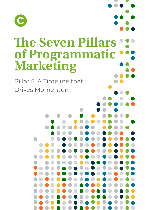

# **The Seven Pillars of Programmatic Marketing**

Pillar 5: A Timeline that Drives Momentum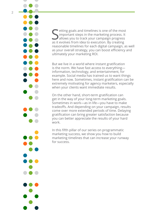

Setting goals and timelines is one of the most<br>important steps in the marketing process. It<br>allows you to track your campaign progress important steps in the marketing process. It allows you to track your campaign progress as it evolves from idea to execution. By creating reasonable timelines for each digital campaign, as well as your overall strategy, you can boost efficiency and ultimately your marketing ROI.

But we live in a world where instant gratification is the norm. We have fast access to everything information, technology, and entertainment, for example. Social media has trained us to want things here and now. Sometimes, instant gratification can be extremely motivating for agency marketers, especially when your clients want immediate results.

On the other hand, short-term gratification can get in the way of your long-term marketing goals. Sometimes in work—as in life—you have to make tradeoffs. And depending on your campaign, results come over more extended periods of time. Delaying gratification can bring greater satisfaction because you can better appreciate the results of your hard work.

In this fifth pillar of our series on programmatic marketing success, we show you how to build marketing timelines that can increase your runway for success.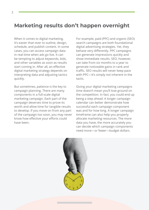### **Marketing results don't happen overnight**

When it comes to digital marketing, it's easier than ever to outline, design, schedule, and publish content. In some cases, you can access campaign data in real-time when ads go live. It can be tempting to adjust keywords, bids, and other variables as soon as results start coming in. After all, an effective digital marketing strategy depends on interpreting data and adjusting tactics quickly.

But sometimes, patience is the key to campaign planning. There are many components in a full-scale digital marketing campaign. Each part of the campaign deserves time to prove its worth and allow time for tangible results to develop. If you move on from any part of the campaign too soon, you may never know how effective your efforts could have been.

For example, paid (PPC) and organic (SEO) search campaigns are both foundational digital advertising strategies. Yet, they behave very differently. PPC campaigns can generate impressions quickly and show immediate results. SEO, however, can take from six months to a year to generate noticeable gains in rank and traffic. SEO results will never keep pace with PPC—It's simply not inherent in the tactic.

Giving your digital marketing campaigns time doesn't mean you'll lose ground on the competition. In fact, you could end up being a step ahead. A longer campaign calendar can better demonstrate how successful each campaign component was and for how long. A longer campaign timeframe can also help you properly allocate marketing resources. The more data you have, the more accurately you can decide which campaign components need more—or fewer—budget dollars.

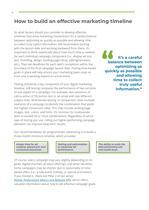#### **How to build an effective marketing timeline**

So what factors should you consider to develop effective timelines that drive marketing momentum? It's a careful balance between optimizing as quickly as possible and allowing time to collect truly useful information. We recommend starting with the launch date and working backward from there. It's important to think realistically about how much time is needed for each individual campaign component (i.e., display ad size, text, branding, design, landing page setup, editing/revisions, etc.). Then set deadlines for each task's completion within the boundary of the final campaign launch date. Putting time-based goals in place will help ensure your marketing team stays on track and is working toward an actual event.

Testing should be a key component of your digital marketing timeline. A/B testing compares the performance of two versions of one aspect of a campaign. For example, two variations of call-to-action (CTA) button text or an email with two different subject lines. Multivariate testing, in comparison, tests multiple elements of a campaign to identify the combination that yields the highest conversion rates. This may include landing page images, text, colors, and fonts. It's common for multivariate tests to exceed 50 or more combinations. Regardless of which type of testing you use, rolling out higher-performing campaign elements can improve long-term results.

**It's a careful balance between optimizing as d**<br> **It's a careful<br>
balance between<br>
optimizing as<br>
quickly as possible and allowing time to collect truly useful information."**

Our recommendation for programmatic advertising is to build a three-month minimum timeline, which provides:

**Ample time for ad creative, placement, and contextual processes.**

**Testing and optimization to maximize ad performance.**

Of course, every campaign may vary slightly depending on its goals, digital channels, product offerings, and other variables. Some campaigns may be shorter due to seasonality or timebased offers (i.e., a sale event, holiday, or special promotion). If you missed it, check out Pillar 2 of our series, *[Holistic Performance Metrics and Relevant KPIs](https://choozle.com/blog/the-seven-pillars-of-programmatic-marketing-success-holistic-performance-metrics-and-relevant-kpis/)*, which offers valuable information about how to set effective campaign goals.

**The ability to scale the best performing ads and media buys.**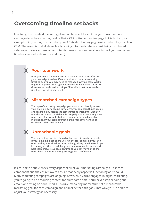#### **Overcoming timeline setbacks**

Inevitably, the best-laid marketing plans can hit roadblocks. After your programmatic campaign launches, you may realize that a CTA button or landing page link is broken, for example. Or, you may discover that your A/B-tested landing page isn't attached to your client's CRM. The result is that all those leads flowing into the database aren't being distributed to sales reps. Here are some other potential issues that can negatively impact your marketing timelines (as well as how to avoid them):

## **Poor teamwork X**

**How your team communicates can have an enormous effect on your campaign timeline. If communication issues are causing timeline delays, you may need to reshape how your team works together. A project management tool might help: when tasks are documented and checked off, you'll be able to set more realistic timelines and attainable goals.**

## **Mismatched campaign types X**

**The type of marketing campaign you launch can directly impact your timeline. For ongoing campaigns, you can keep things simple and reachable by setting the same timeline week after week or month after month. Social media campaigns can take a long time to prepare, for example, but posts can be scheduled months in advance. If your team is finishing their tasks way ahead of deadlines, adjust the timeline.** 

#### **X Unreachable goals**

**Your marketing timeline should reflect specific marketing goals. If your timeline is too short, you run the risk of missing your goal or extending your timeline. Alternatively, a long timeline could get in the way of other scheduled projects. A reasonable timeline will help you achieve your goals on time so you can move on to the next phase of your marketing strategy with confidence.**

It's crucial to double-check every aspect of all of your marketing campaigns. Test each component and the entire flow to ensure that every aspect is functioning as it should. Many marketing campaigns are ongoing, however. If you're engaged in digital marketing, you're going to be producing content for quite some time. You'll never stop sending out emails or posting on social media. To drive marketing momentum set a measurable marketing goal for each campaign and a timeline for each goal. That way, you'll be able to adjust your strategy as necessary.